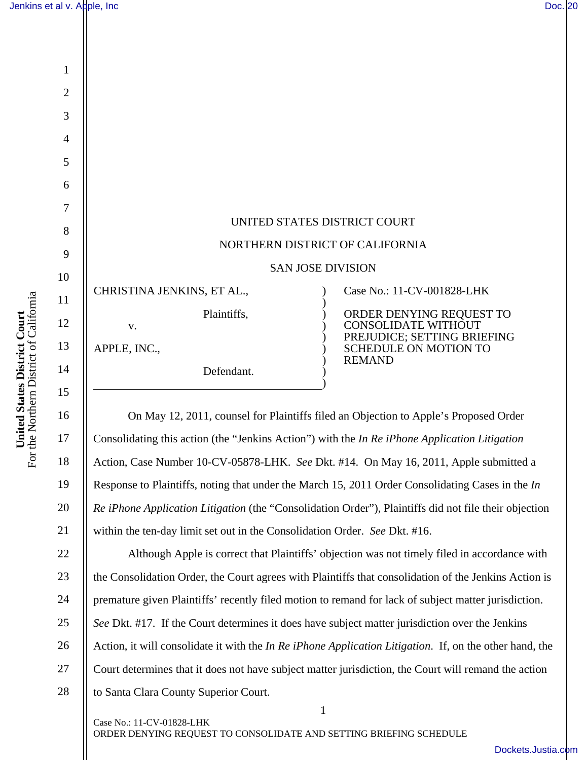1

2

3

4

5

6

7

8

9

10

11

12

13

14

15

I

16

17

18

19

20

21

27

| UNITED STATES DISTRICT COURT                    |                                                                                                                                        |
|-------------------------------------------------|----------------------------------------------------------------------------------------------------------------------------------------|
| NORTHERN DISTRICT OF CALIFORNIA                 |                                                                                                                                        |
| <b>SAN JOSE DIVISION</b>                        |                                                                                                                                        |
| CHRISTINA JENKINS, ET AL.,                      | Case No.: 11-CV-001828-LHK                                                                                                             |
| Plaintiffs,<br>V.<br>APPLE, INC.,<br>Defendant. | ORDER DENYING REQUEST TO<br><b>CONSOLIDATE WITHOUT</b><br>PREJUDICE; SETTING BRIEFING<br><b>SCHEDULE ON MOTION TO</b><br><b>REMAND</b> |

On May 12, 2011, counsel for Plaintiffs filed an Objection to Apple's Proposed Order Consolidating this action (the "Jenkins Action") with the *In Re iPhone Application Litigation*  Action, Case Number 10-CV-05878-LHK. *See* Dkt. #14. On May 16, 2011, Apple submitted a Response to Plaintiffs, noting that under the March 15, 2011 Order Consolidating Cases in the *In Re iPhone Application Litigation* (the "Consolidation Order"), Plaintiffs did not file their objection within the ten-day limit set out in the Consolidation Order. *See* Dkt. #16.

1 22 23 24 25 26 28 Although Apple is correct that Plaintiffs' objection was not timely filed in accordance with the Consolidation Order, the Court agrees with Plaintiffs that consolidation of the Jenkins Action is premature given Plaintiffs' recently filed motion to remand for lack of subject matter jurisdiction. *See* Dkt. #17. If the Court determines it does have subject matter jurisdiction over the Jenkins Action, it will consolidate it with the *In Re iPhone Application Litigation*. If, on the other hand, the Court determines that it does not have subject matter jurisdiction, the Court will remand the action to Santa Clara County Superior Court.

For the Northern District of California United States District Court<br>For the Northern District of California **United States District Court** 

ORDER DENYING REQUEST TO CONSOLIDATE AND SETTING BRIEFING SCHEDULE